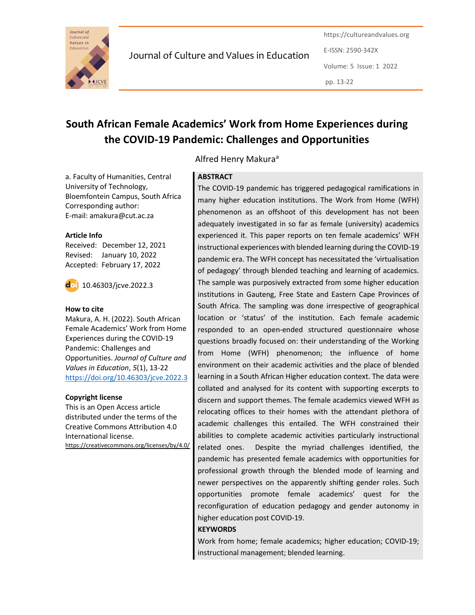

Journal of Culture and Values in Education

https://cultureandvalues.org E-ISSN: 2590-342X Volume: 5 Issue: 1 2022 pp. 13-22

# South African Female Academics' Work from Home Experiences during the COVID-19 Pandemic: Challenges and Opportunities

a. Faculty of Humanities, Central University of Technology, Bloemfontein Campus, South Africa Corresponding author:

#### Article Info

Received: December 12, 2021 Revised: January 10, 2022 Accepted: February 17, 2022

E-mail: amakura@cut.ac.za



10.46303/jcve.2022.3

#### How to cite

Makura, A. H. (2022). South African Female Academics' Work from Home Experiences during the COVID-19 Pandemic: Challenges and Opportunities. Journal of Culture and Values in Education, 5(1), 13-22 https://doi.org/10.46303/jcve.2022.3

#### Copyright license

This is an Open Access article distributed under the terms of the Creative Commons Attribution 4.0 International license. https://creativecommons.org/licenses/by/4.0/

# Alfred Henry Makura<sup>a</sup>

# **ABSTRACT**

The COVID-19 pandemic has triggered pedagogical ramifications in many higher education institutions. The Work from Home (WFH) phenomenon as an offshoot of this development has not been adequately investigated in so far as female (university) academics experienced it. This paper reports on ten female academics' WFH instructional experiences with blended learning during the COVID-19 pandemic era. The WFH concept has necessitated the 'virtualisation of pedagogy' through blended teaching and learning of academics. The sample was purposively extracted from some higher education institutions in Gauteng, Free State and Eastern Cape Provinces of South Africa. The sampling was done irrespective of geographical location or 'status' of the institution. Each female academic responded to an open-ended structured questionnaire whose questions broadly focused on: their understanding of the Working from Home (WFH) phenomenon; the influence of home environment on their academic activities and the place of blended learning in a South African Higher education context. The data were collated and analysed for its content with supporting excerpts to discern and support themes. The female academics viewed WFH as relocating offices to their homes with the attendant plethora of academic challenges this entailed. The WFH constrained their abilities to complete academic activities particularly instructional related ones. Despite the myriad challenges identified, the pandemic has presented female academics with opportunities for professional growth through the blended mode of learning and newer perspectives on the apparently shifting gender roles. Such opportunities promote female academics' quest for the reconfiguration of education pedagogy and gender autonomy in higher education post COVID-19.

#### **KEYWORDS**

Work from home; female academics; higher education; COVID-19; instructional management; blended learning.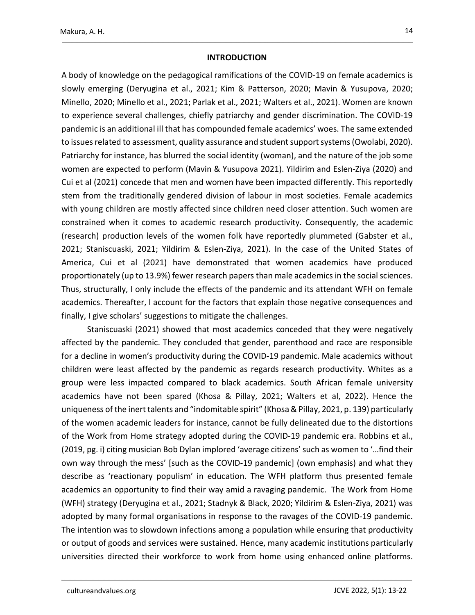#### **INTRODUCTION**

A body of knowledge on the pedagogical ramifications of the COVID-19 on female academics is slowly emerging (Deryugina et al., 2021; Kim & Patterson, 2020; Mavin & Yusupova, 2020; Minello, 2020; Minello et al., 2021; Parlak et al., 2021; Walters et al., 2021). Women are known to experience several challenges, chiefly patriarchy and gender discrimination. The COVID-19 pandemic is an additional ill that has compounded female academics' woes. The same extended to issues related to assessment, quality assurance and student support systems (Owolabi, 2020). Patriarchy for instance, has blurred the social identity (woman), and the nature of the job some women are expected to perform (Mavin & Yusupova 2021). Yildirim and Eslen-Ziya (2020) and Cui et al (2021) concede that men and women have been impacted differently. This reportedly stem from the traditionally gendered division of labour in most societies. Female academics with young children are mostly affected since children need closer attention. Such women are constrained when it comes to academic research productivity. Consequently, the academic (research) production levels of the women folk have reportedly plummeted (Gabster et al., 2021; Staniscuaski, 2021; Yildirim & Eslen-Ziya, 2021). In the case of the United States of America, Cui et al (2021) have demonstrated that women academics have produced proportionately (up to 13.9%) fewer research papers than male academics in the social sciences. Thus, structurally, I only include the effects of the pandemic and its attendant WFH on female academics. Thereafter, I account for the factors that explain those negative consequences and finally, I give scholars' suggestions to mitigate the challenges.

Staniscuaski (2021) showed that most academics conceded that they were negatively affected by the pandemic. They concluded that gender, parenthood and race are responsible for a decline in women's productivity during the COVID-19 pandemic. Male academics without children were least affected by the pandemic as regards research productivity. Whites as a group were less impacted compared to black academics. South African female university academics have not been spared (Khosa & Pillay, 2021; Walters et al, 2022). Hence the uniqueness of the inert talents and "indomitable spirit" (Khosa & Pillay, 2021, p. 139) particularly of the women academic leaders for instance, cannot be fully delineated due to the distortions of the Work from Home strategy adopted during the COVID-19 pandemic era. Robbins et al., (2019, pg. i) citing musician Bob Dylan implored 'average citizens' such as women to '…find their own way through the mess' [such as the COVID-19 pandemic] (own emphasis) and what they describe as 'reactionary populism' in education. The WFH platform thus presented female academics an opportunity to find their way amid a ravaging pandemic. The Work from Home (WFH) strategy (Deryugina et al., 2021; Stadnyk & Black, 2020; Yildirim & Eslen-Ziya, 2021) was adopted by many formal organisations in response to the ravages of the COVID-19 pandemic. The intention was to slowdown infections among a population while ensuring that productivity or output of goods and services were sustained. Hence, many academic institutions particularly universities directed their workforce to work from home using enhanced online platforms.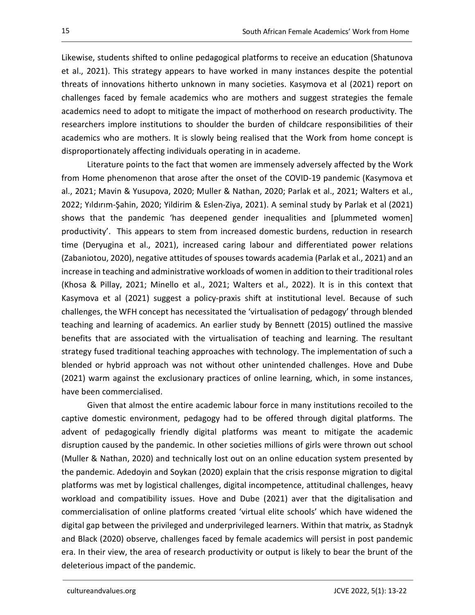Likewise, students shifted to online pedagogical platforms to receive an education (Shatunova et al., 2021). This strategy appears to have worked in many instances despite the potential threats of innovations hitherto unknown in many societies. Kasymova et al (2021) report on challenges faced by female academics who are mothers and suggest strategies the female academics need to adopt to mitigate the impact of motherhood on research productivity. The researchers implore institutions to shoulder the burden of childcare responsibilities of their academics who are mothers. It is slowly being realised that the Work from home concept is disproportionately affecting individuals operating in in academe.

Literature points to the fact that women are immensely adversely affected by the Work from Home phenomenon that arose after the onset of the COVID-19 pandemic (Kasymova et al., 2021; Mavin & Yusupova, 2020; Muller & Nathan, 2020; Parlak et al., 2021; Walters et al., 2022; Yıldırım-Şahin, 2020; Yildirim & Eslen-Ziya, 2021). A seminal study by Parlak et al (2021) shows that the pandemic 'has deepened gender inequalities and [plummeted women] productivity'. This appears to stem from increased domestic burdens, reduction in research time (Deryugina et al., 2021), increased caring labour and differentiated power relations (Zabaniotou, 2020), negative attitudes of spouses towards academia (Parlak et al., 2021) and an increase in teaching and administrative workloads of women in addition to their traditional roles (Khosa & Pillay, 2021; Minello et al., 2021; Walters et al., 2022). It is in this context that Kasymova et al (2021) suggest a policy-praxis shift at institutional level. Because of such challenges, the WFH concept has necessitated the 'virtualisation of pedagogy' through blended teaching and learning of academics. An earlier study by Bennett (2015) outlined the massive benefits that are associated with the virtualisation of teaching and learning. The resultant strategy fused traditional teaching approaches with technology. The implementation of such a blended or hybrid approach was not without other unintended challenges. Hove and Dube (2021) warm against the exclusionary practices of online learning, which, in some instances, have been commercialised.

Given that almost the entire academic labour force in many institutions recoiled to the captive domestic environment, pedagogy had to be offered through digital platforms. The advent of pedagogically friendly digital platforms was meant to mitigate the academic disruption caused by the pandemic. In other societies millions of girls were thrown out school (Muller & Nathan, 2020) and technically lost out on an online education system presented by the pandemic. Adedoyin and Soykan (2020) explain that the crisis response migration to digital platforms was met by logistical challenges, digital incompetence, attitudinal challenges, heavy workload and compatibility issues. Hove and Dube (2021) aver that the digitalisation and commercialisation of online platforms created 'virtual elite schools' which have widened the digital gap between the privileged and underprivileged learners. Within that matrix, as Stadnyk and Black (2020) observe, challenges faced by female academics will persist in post pandemic era. In their view, the area of research productivity or output is likely to bear the brunt of the deleterious impact of the pandemic.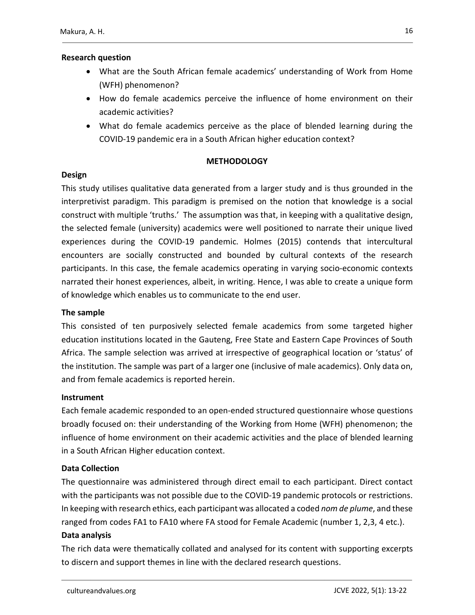# Research question

- What are the South African female academics' understanding of Work from Home (WFH) phenomenon?
- How do female academics perceive the influence of home environment on their academic activities?
- What do female academics perceive as the place of blended learning during the COVID-19 pandemic era in a South African higher education context?

# METHODOLOGY

# Design

This study utilises qualitative data generated from a larger study and is thus grounded in the interpretivist paradigm. This paradigm is premised on the notion that knowledge is a social construct with multiple 'truths.' The assumption was that, in keeping with a qualitative design, the selected female (university) academics were well positioned to narrate their unique lived experiences during the COVID-19 pandemic. Holmes (2015) contends that intercultural encounters are socially constructed and bounded by cultural contexts of the research participants. In this case, the female academics operating in varying socio-economic contexts narrated their honest experiences, albeit, in writing. Hence, I was able to create a unique form of knowledge which enables us to communicate to the end user.

# The sample

This consisted of ten purposively selected female academics from some targeted higher education institutions located in the Gauteng, Free State and Eastern Cape Provinces of South Africa. The sample selection was arrived at irrespective of geographical location or 'status' of the institution. The sample was part of a larger one (inclusive of male academics). Only data on, and from female academics is reported herein.

# **Instrument**

Each female academic responded to an open-ended structured questionnaire whose questions broadly focused on: their understanding of the Working from Home (WFH) phenomenon; the influence of home environment on their academic activities and the place of blended learning in a South African Higher education context.

# Data Collection

The questionnaire was administered through direct email to each participant. Direct contact with the participants was not possible due to the COVID-19 pandemic protocols or restrictions. In keeping with research ethics, each participant was allocated a coded nom de plume, and these ranged from codes FA1 to FA10 where FA stood for Female Academic (number 1, 2,3, 4 etc.).

# Data analysis

The rich data were thematically collated and analysed for its content with supporting excerpts to discern and support themes in line with the declared research questions.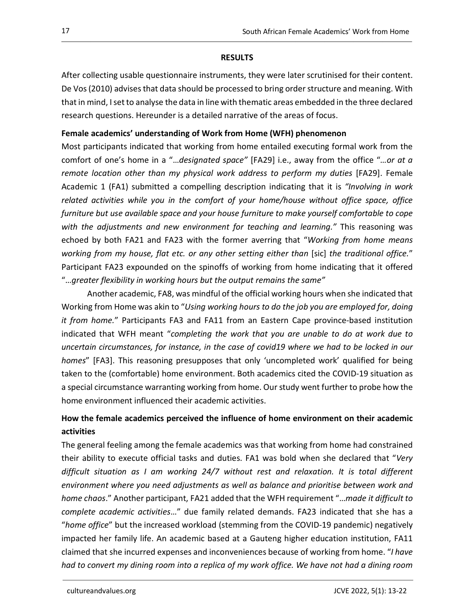#### RESULTS

After collecting usable questionnaire instruments, they were later scrutinised for their content. De Vos (2010) advises that data should be processed to bring order structure and meaning. With that in mind, I set to analyse the data in line with thematic areas embedded in the three declared research questions. Hereunder is a detailed narrative of the areas of focus.

#### Female academics' understanding of Work from Home (WFH) phenomenon

Most participants indicated that working from home entailed executing formal work from the comfort of one's home in a "...designated space" [FA29] i.e., away from the office "...or at a remote location other than my physical work address to perform my duties [FA29]. Female Academic 1 (FA1) submitted a compelling description indicating that it is "Involving in work related activities while you in the comfort of your home/house without office space, office furniture but use available space and your house furniture to make yourself comfortable to cope with the adjustments and new environment for teaching and learning." This reasoning was echoed by both FA21 and FA23 with the former averring that "Working from home means working from my house, flat etc. or any other setting either than [sic] the traditional office." Participant FA23 expounded on the spinoffs of working from home indicating that it offered

"…greater flexibility in working hours but the output remains the same" Another academic, FA8, was mindful of the official working hours when she indicated that Working from Home was akin to "Using working hours to do the job you are employed for, doing it from home." Participants FA3 and FA11 from an Eastern Cape province-based institution indicated that WFH meant "completing the work that you are unable to do at work due to uncertain circumstances, for instance, in the case of covid19 where we had to be locked in our homes" [FA3]. This reasoning presupposes that only 'uncompleted work' qualified for being taken to the (comfortable) home environment. Both academics cited the COVID-19 situation as a special circumstance warranting working from home. Our study went further to probe how the home environment influenced their academic activities.

# How the female academics perceived the influence of home environment on their academic activities

The general feeling among the female academics was that working from home had constrained their ability to execute official tasks and duties. FA1 was bold when she declared that "Very difficult situation as I am working 24/7 without rest and relaxation. It is total different environment where you need adjustments as well as balance and prioritise between work and home chaos." Another participant, FA21 added that the WFH requirement "...made it difficult to complete academic activities..." due family related demands. FA23 indicated that she has a "home office" but the increased workload (stemming from the COVID-19 pandemic) negatively impacted her family life. An academic based at a Gauteng higher education institution, FA11 claimed that she incurred expenses and inconveniences because of working from home. "I have had to convert my dining room into a replica of my work office. We have not had a dining room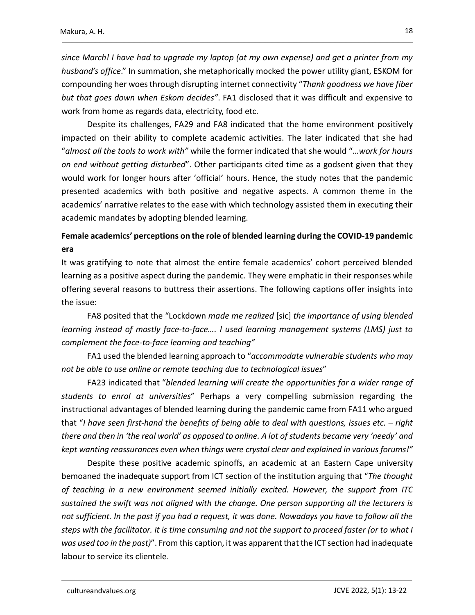since March! I have had to upgrade my laptop (at my own expense) and get a printer from my husband's office." In summation, she metaphorically mocked the power utility giant, ESKOM for compounding her woes through disrupting internet connectivity "Thank goodness we have fiber but that goes down when Eskom decides". FA1 disclosed that it was difficult and expensive to work from home as regards data, electricity, food etc.

Despite its challenges, FA29 and FA8 indicated that the home environment positively impacted on their ability to complete academic activities. The later indicated that she had "almost all the tools to work with" while the former indicated that she would "…work for hours on end without getting disturbed". Other participants cited time as a godsent given that they would work for longer hours after 'official' hours. Hence, the study notes that the pandemic presented academics with both positive and negative aspects. A common theme in the academics' narrative relates to the ease with which technology assisted them in executing their academic mandates by adopting blended learning.

# Female academics' perceptions on the role of blended learning during the COVID-19 pandemic era

It was gratifying to note that almost the entire female academics' cohort perceived blended learning as a positive aspect during the pandemic. They were emphatic in their responses while offering several reasons to buttress their assertions. The following captions offer insights into the issue:

FA8 posited that the "Lockdown made me realized [sic] the importance of using blended learning instead of mostly face-to-face…. I used learning management systems (LMS) just to complement the face-to-face learning and teaching"

FA1 used the blended learning approach to "accommodate vulnerable students who may not be able to use online or remote teaching due to technological issues"

FA23 indicated that "blended learning will create the opportunities for a wider range of students to enrol at universities" Perhaps a very compelling submission regarding the instructional advantages of blended learning during the pandemic came from FA11 who argued that "I have seen first-hand the benefits of being able to deal with questions, issues etc. – right there and then in 'the real world' as opposed to online. A lot of students became very 'needy' and kept wanting reassurances even when things were crystal clear and explained in various forums!" Despite these positive academic spinoffs, an academic at an Eastern Cape university

bemoaned the inadequate support from ICT section of the institution arguing that "The thought of teaching in a new environment seemed initially excited. However, the support from ITC sustained the swift was not aligned with the change. One person supporting all the lecturers is not sufficient. In the past if you had a request, it was done. Nowadays you have to follow all the steps with the facilitator. It is time consuming and not the support to proceed faster (or to what I was used too in the past)". From this caption, it was apparent that the ICT section had inadequate labour to service its clientele.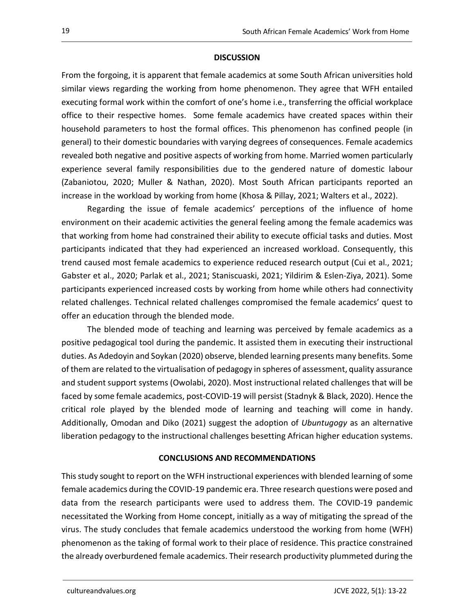#### **DISCUSSION**

From the forgoing, it is apparent that female academics at some South African universities hold similar views regarding the working from home phenomenon. They agree that WFH entailed executing formal work within the comfort of one's home i.e., transferring the official workplace office to their respective homes. Some female academics have created spaces within their household parameters to host the formal offices. This phenomenon has confined people (in general) to their domestic boundaries with varying degrees of consequences. Female academics revealed both negative and positive aspects of working from home. Married women particularly experience several family responsibilities due to the gendered nature of domestic labour (Zabaniotou, 2020; Muller & Nathan, 2020). Most South African participants reported an increase in the workload by working from home (Khosa & Pillay, 2021; Walters et al., 2022).

Regarding the issue of female academics' perceptions of the influence of home environment on their academic activities the general feeling among the female academics was that working from home had constrained their ability to execute official tasks and duties. Most participants indicated that they had experienced an increased workload. Consequently, this trend caused most female academics to experience reduced research output (Cui et al., 2021; Gabster et al., 2020; Parlak et al., 2021; Staniscuaski, 2021; Yildirim & Eslen-Ziya, 2021). Some participants experienced increased costs by working from home while others had connectivity related challenges. Technical related challenges compromised the female academics' quest to offer an education through the blended mode.

The blended mode of teaching and learning was perceived by female academics as a positive pedagogical tool during the pandemic. It assisted them in executing their instructional duties. As Adedoyin and Soykan (2020) observe, blended learning presents many benefits. Some of them are related to the virtualisation of pedagogy in spheres of assessment, quality assurance and student support systems (Owolabi, 2020). Most instructional related challenges that will be faced by some female academics, post-COVID-19 will persist (Stadnyk & Black, 2020). Hence the critical role played by the blended mode of learning and teaching will come in handy. Additionally, Omodan and Diko (2021) suggest the adoption of Ubuntugogy as an alternative liberation pedagogy to the instructional challenges besetting African higher education systems.

#### CONCLUSIONS AND RECOMMENDATIONS

This study sought to report on the WFH instructional experiences with blended learning of some female academics during the COVID-19 pandemic era. Three research questions were posed and data from the research participants were used to address them. The COVID-19 pandemic necessitated the Working from Home concept, initially as a way of mitigating the spread of the virus. The study concludes that female academics understood the working from home (WFH) phenomenon as the taking of formal work to their place of residence. This practice constrained the already overburdened female academics. Their research productivity plummeted during the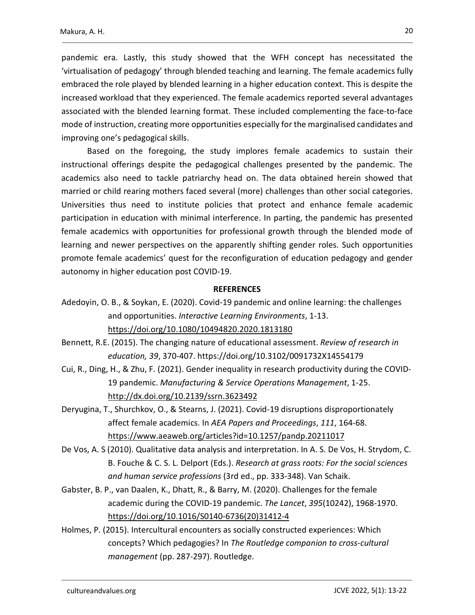pandemic era. Lastly, this study showed that the WFH concept has necessitated the 'virtualisation of pedagogy' through blended teaching and learning. The female academics fully embraced the role played by blended learning in a higher education context. This is despite the increased workload that they experienced. The female academics reported several advantages associated with the blended learning format. These included complementing the face-to-face mode of instruction, creating more opportunities especially for the marginalised candidates and improving one's pedagogical skills.

Based on the foregoing, the study implores female academics to sustain their instructional offerings despite the pedagogical challenges presented by the pandemic. The academics also need to tackle patriarchy head on. The data obtained herein showed that married or child rearing mothers faced several (more) challenges than other social categories. Universities thus need to institute policies that protect and enhance female academic participation in education with minimal interference. In parting, the pandemic has presented female academics with opportunities for professional growth through the blended mode of learning and newer perspectives on the apparently shifting gender roles. Such opportunities promote female academics' quest for the reconfiguration of education pedagogy and gender autonomy in higher education post COVID-19.

#### **REFERENCES**

Adedoyin, O. B., & Soykan, E. (2020). Covid-19 pandemic and online learning: the challenges and opportunities. Interactive Learning Environments, 1-13. https://doi.org/10.1080/10494820.2020.1813180

Bennett, R.E. (2015). The changing nature of educational assessment. Review of research in education, 39, 370-407. https://doi.org/10.3102/0091732X14554179

- Cui, R., Ding, H., & Zhu, F. (2021). Gender inequality in research productivity during the COVID-19 pandemic. Manufacturing & Service Operations Management, 1-25. http://dx.doi.org/10.2139/ssrn.3623492
- Deryugina, T., Shurchkov, O., & Stearns, J. (2021). Covid-19 disruptions disproportionately affect female academics. In AEA Papers and Proceedings, 111, 164-68. https://www.aeaweb.org/articles?id=10.1257/pandp.20211017
- De Vos, A. S (2010). Qualitative data analysis and interpretation. In A. S. De Vos, H. Strydom, C. B. Fouche & C. S. L. Delport (Eds.). Research at grass roots: For the social sciences and human service professions (3rd ed., pp. 333-348). Van Schaik.
- Gabster, B. P., van Daalen, K., Dhatt, R., & Barry, M. (2020). Challenges for the female academic during the COVID-19 pandemic. The Lancet, 395(10242), 1968-1970. https://doi.org/10.1016/S0140-6736(20)31412-4
- Holmes, P. (2015). Intercultural encounters as socially constructed experiences: Which concepts? Which pedagogies? In The Routledge companion to cross-cultural management (pp. 287-297). Routledge.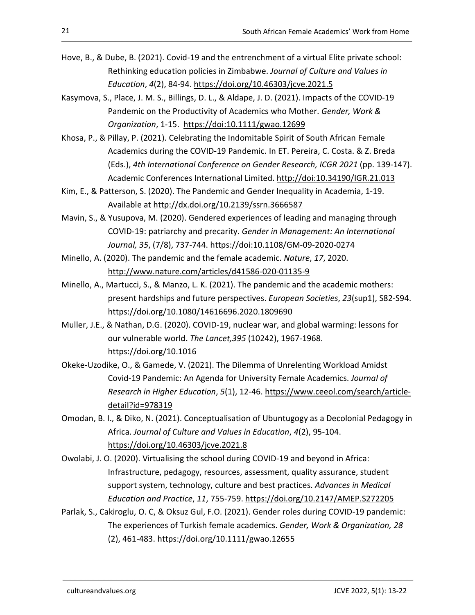- Hove, B., & Dube, B. (2021). Covid-19 and the entrenchment of a virtual Elite private school: Rethinking education policies in Zimbabwe. Journal of Culture and Values in Education, 4(2), 84-94. https://doi.org/10.46303/jcve.2021.5
- Kasymova, S., Place, J. M. S., Billings, D. L., & Aldape, J. D. (2021). Impacts of the COVID-19 Pandemic on the Productivity of Academics who Mother. Gender, Work & Organization, 1-15. https://doi:10.1111/gwao.12699
- Khosa, P., & Pillay, P. (2021). Celebrating the Indomitable Spirit of South African Female Academics during the COVID-19 Pandemic. In ET. Pereira, C. Costa. & Z. Breda (Eds.), 4th International Conference on Gender Research, ICGR 2021 (pp. 139-147). Academic Conferences International Limited. http://doi:10.34190/IGR.21.013
- Kim, E., & Patterson, S. (2020). The Pandemic and Gender Inequality in Academia, 1-19. Available at http://dx.doi.org/10.2139/ssrn.3666587
- Mavin, S., & Yusupova, M. (2020). Gendered experiences of leading and managing through COVID-19: patriarchy and precarity. Gender in Management: An International Journal, 35, (7/8), 737-744. https://doi:10.1108/GM-09-2020-0274
- Minello, A. (2020). The pandemic and the female academic. Nature, 17, 2020. http://www.nature.com/articles/d41586-020-01135-9
- Minello, A., Martucci, S., & Manzo, L. K. (2021). The pandemic and the academic mothers: present hardships and future perspectives. European Societies, 23(sup1), S82-S94. https://doi.org/10.1080/14616696.2020.1809690
- Muller, J.E., & Nathan, D.G. (2020). COVID-19, nuclear war, and global warming: lessons for our vulnerable world. The Lancet,395 (10242), 1967-1968. https://doi.org/10.1016
- Okeke-Uzodike, O., & Gamede, V. (2021). The Dilemma of Unrelenting Workload Amidst Covid-19 Pandemic: An Agenda for University Female Academics. Journal of Research in Higher Education, 5(1), 12-46. https://www.ceeol.com/search/articledetail?id=978319
- Omodan, B. I., & Diko, N. (2021). Conceptualisation of Ubuntugogy as a Decolonial Pedagogy in Africa. Journal of Culture and Values in Education, 4(2), 95-104. https://doi.org/10.46303/jcve.2021.8
- Owolabi, J. O. (2020). Virtualising the school during COVID-19 and beyond in Africa: Infrastructure, pedagogy, resources, assessment, quality assurance, student support system, technology, culture and best practices. Advances in Medical Education and Practice, 11, 755-759. https://doi.org/10.2147/AMEP.S272205
- Parlak, S., Cakiroglu, O. C, & Oksuz Gul, F.O. (2021). Gender roles during COVID-19 pandemic: The experiences of Turkish female academics. Gender, Work & Organization, 28 (2), 461-483. https://doi.org/10.1111/gwao.12655